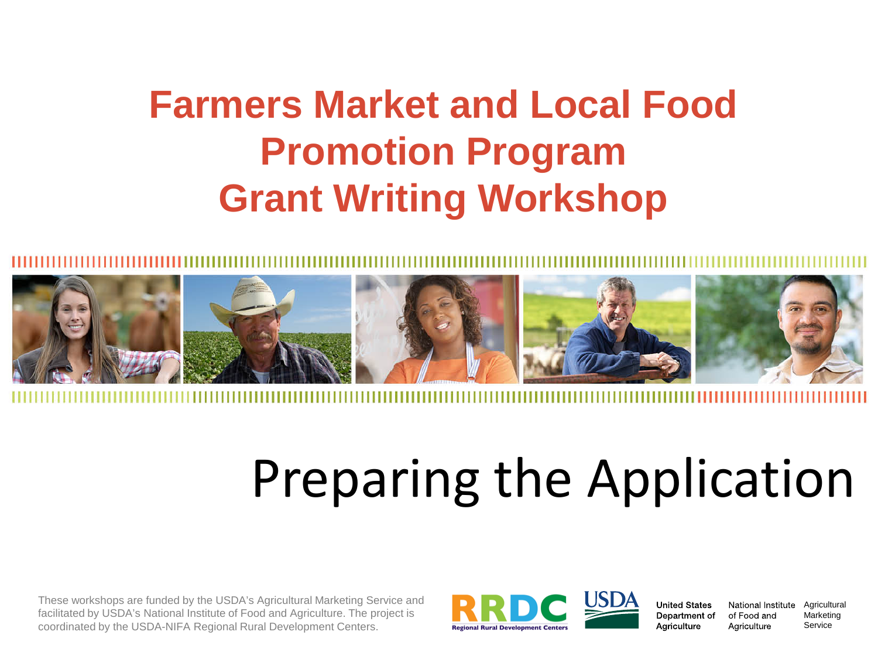# **Farmers Market and Local Food Promotion Program Grant Writing Workshop**



# Preparing the Application

These workshops are funded by the USDA's Agricultural Marketing Service and facilitated by USDA's National Institute of Food and Agriculture. The project is coordinated by the USDA-NIFA Regional Rural Development Centers.



**United States** Department of Agriculture

of Food and Agriculture

National Institute Agricultural Marketing Service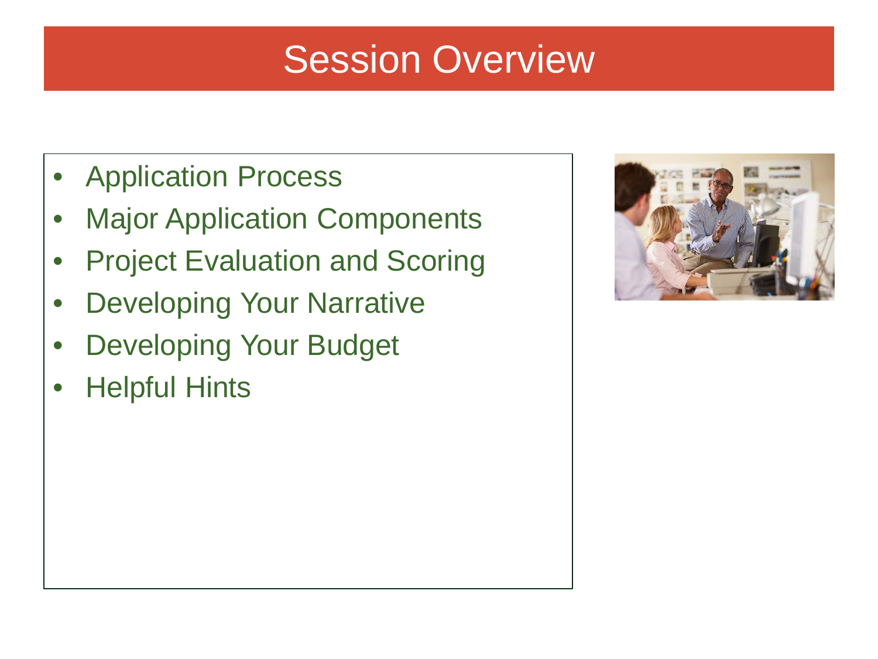# Session Overview

- Application Process
- Major Application Components
- Project Evaluation and Scoring
- **Developing Your Narrative**
- Developing Your Budget
- Helpful Hints

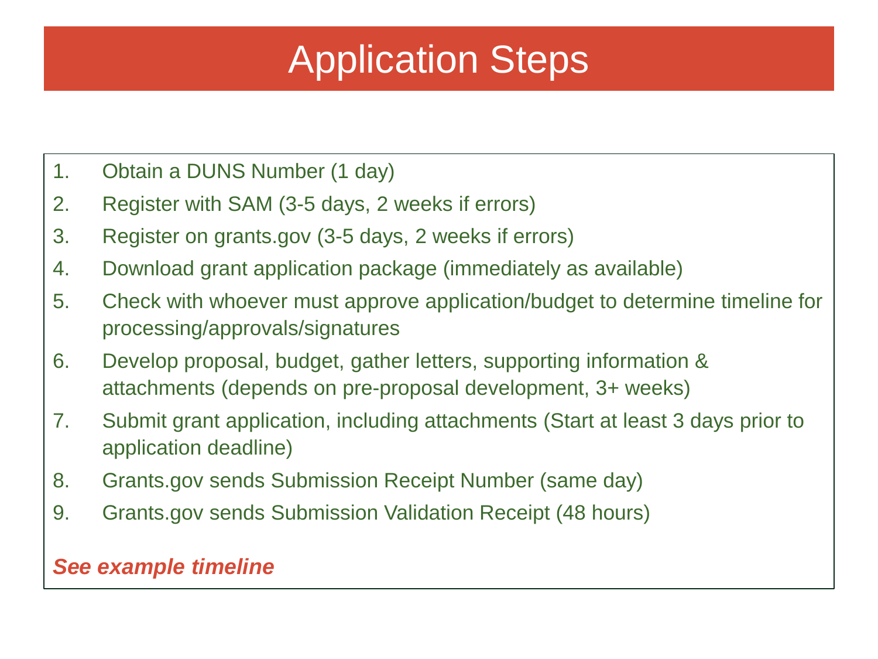# Application Steps

- 1. Obtain a DUNS Number (1 day)
- 2. Register with SAM (3-5 days, 2 weeks if errors)
- 3. Register on grants.gov (3-5 days, 2 weeks if errors)
- 4. Download grant application package (immediately as available)
- 5. Check with whoever must approve application/budget to determine timeline for processing/approvals/signatures
- 6. Develop proposal, budget, gather letters, supporting information & attachments (depends on pre-proposal development, 3+ weeks)
- 7. Submit grant application, including attachments (Start at least 3 days prior to application deadline)
- 8. Grants.gov sends Submission Receipt Number (same day)
- 9. Grants.gov sends Submission Validation Receipt (48 hours)

#### *See example timeline*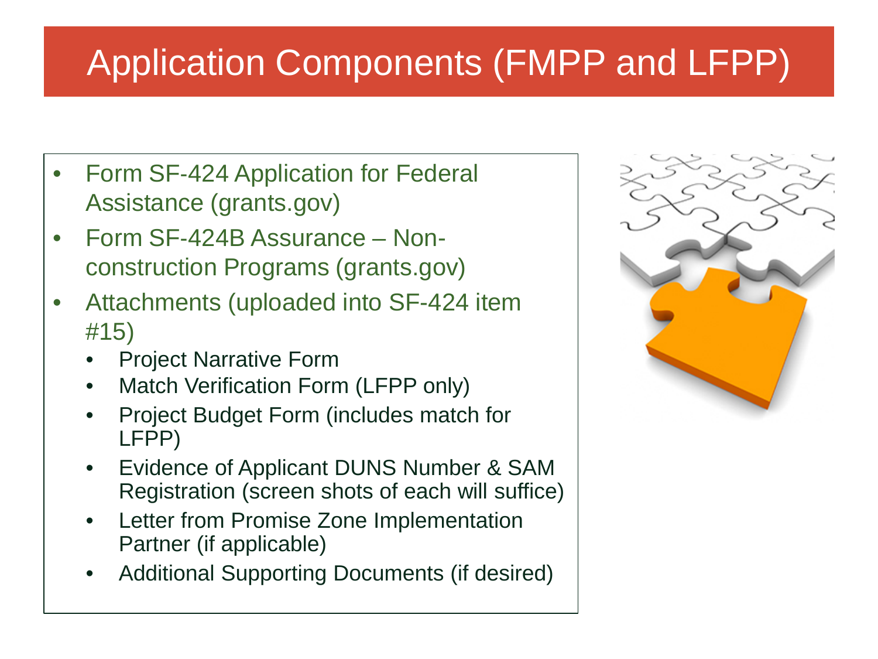# Application Components (FMPP and LFPP)

- Form SF-424 Application for Federal Assistance (grants.gov)
- Form SF-424B Assurance Nonconstruction Programs (grants.gov)
- Attachments (uploaded into SF-424 item #15)
	- Project Narrative Form
	- Match Verification Form (LFPP only)
	- Project Budget Form (includes match for LFPP)
	- Evidence of Applicant DUNS Number & SAM Registration (screen shots of each will suffice)
	- Letter from Promise Zone Implementation Partner (if applicable)
	- Additional Supporting Documents (if desired)

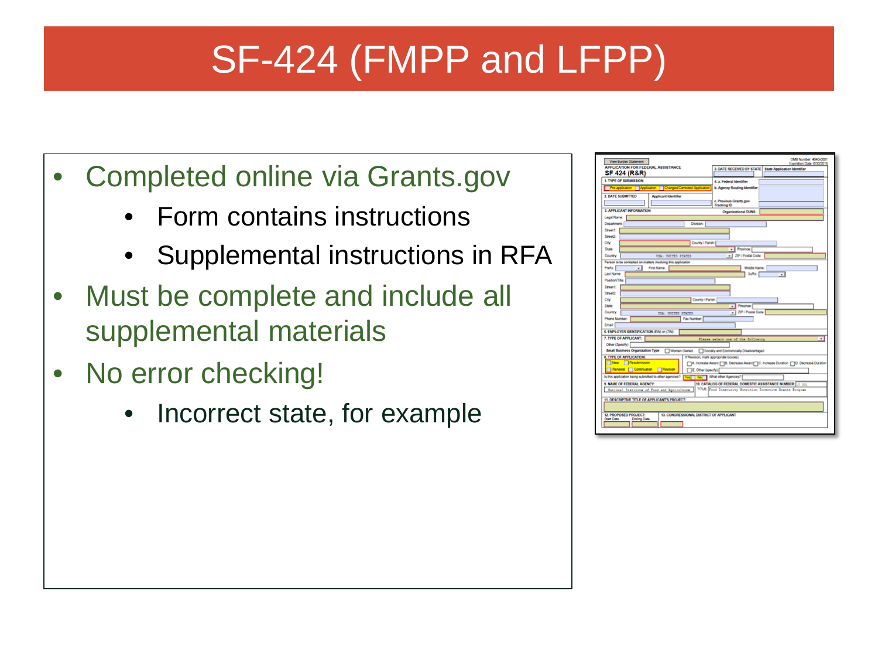# SF-424 (FMPP and LFPP)

- Completed online via Grants.gov
	- Form contains instructions
	- Supplemental instructions in RFA
- Must be complete and include all supplemental materials
- No error checking!
	- Incorrect state, for example

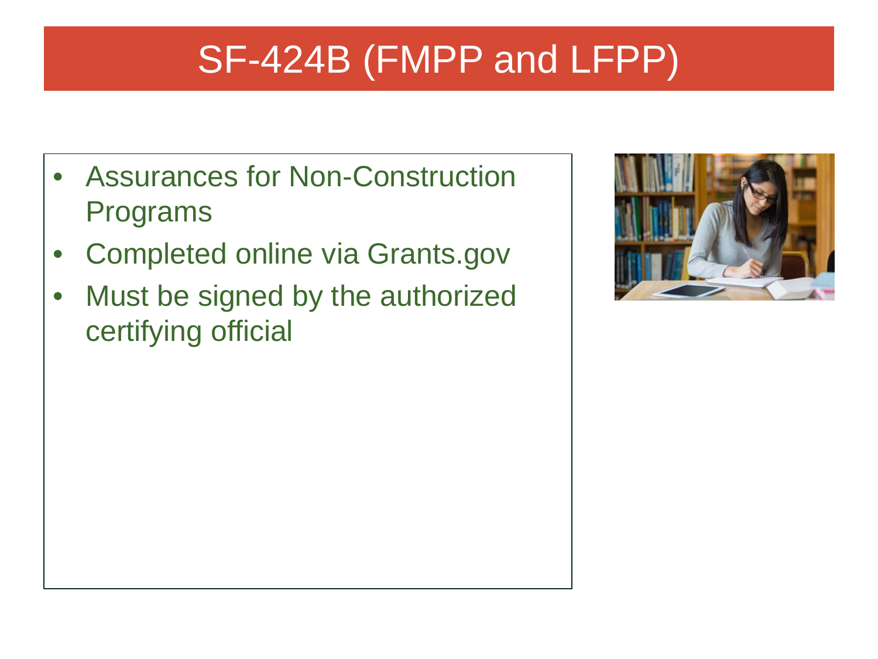# SF-424B (FMPP and LFPP)

- Assurances for Non-Construction Programs
- Completed online via Grants.gov
- Must be signed by the authorized certifying official

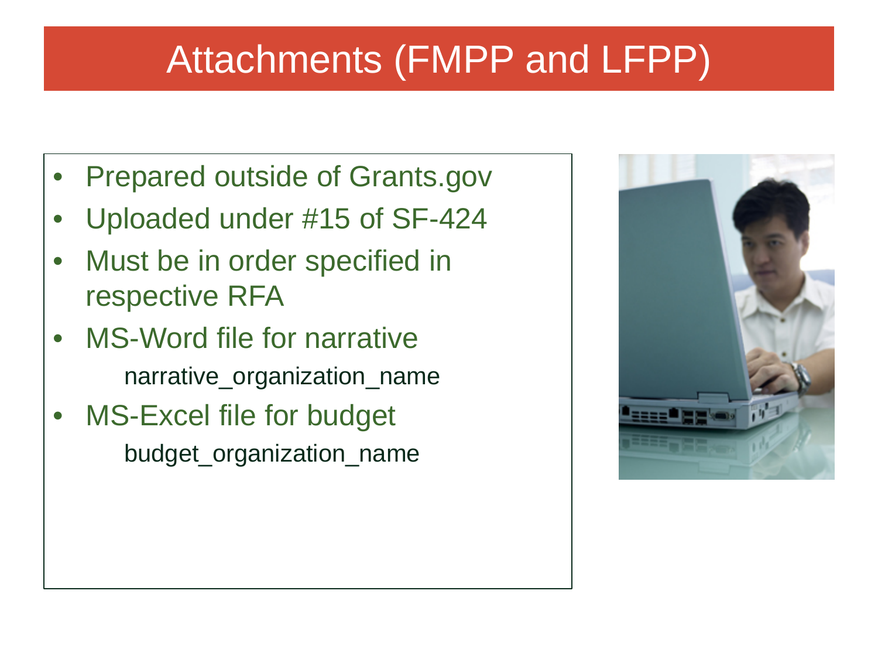# Attachments (FMPP and LFPP)

- Prepared outside of Grants.gov
- Uploaded under #15 of SF-424
- Must be in order specified in respective RFA
- MS-Word file for narrative narrative\_organization\_name
- MS-Excel file for budget budget\_organization\_name

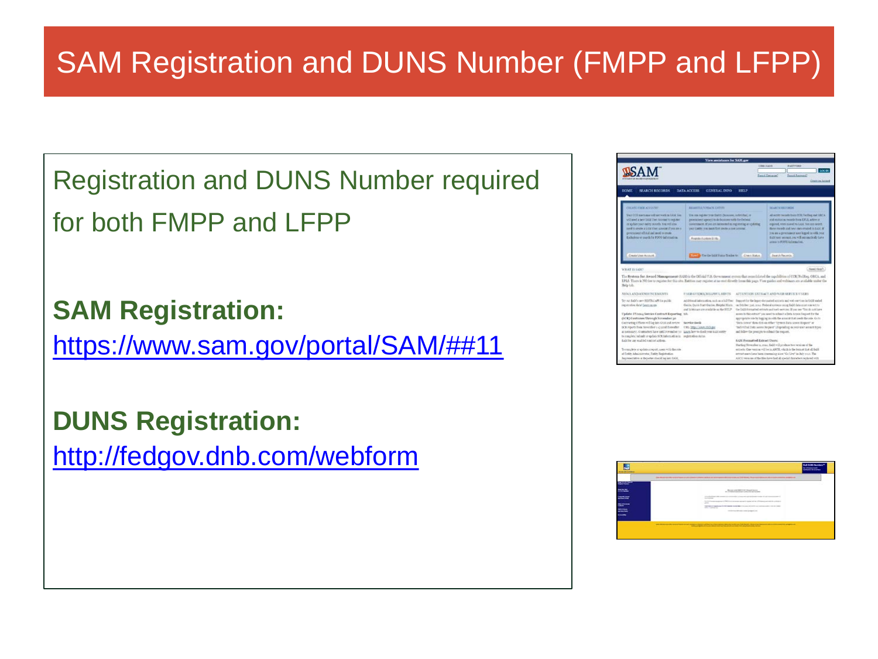### SAM Registration and DUNS Number (FMPP and LFPP)

Registration and DUNS Number required for both FMPP and LFPP

**SAM Registration:**

[https://www.sam.gov/portal/SAM/##11](https://www.sam.gov/portal/SAM/%23%2311)

**DUNS Registration[:](http://fedgov.dnb.com/webform)**

<http://fedgov.dnb.com/webform>



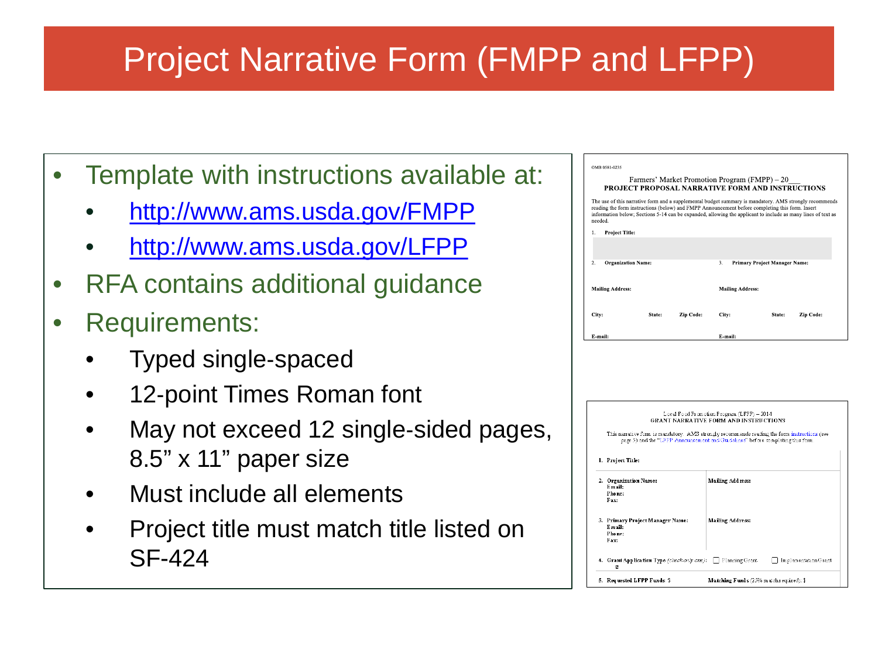### Project Narrative Form (FMPP and LFPP)

- Template with instructions available at:
	- <http://www.ams.usda.gov/FMPP>
	- <http://www.ams.usda.gov/LFPP>
- RFA contains additional guidance
- Requirements:
	- Typed single‐spaced
	- 12-point Times Roman font
	- May not exceed 12 single-sided pages, 8.5" x 11" paper size
	- Must include all elements
	- Project title must match title listed on SF-424

| OMB 0581-0235                                                                                             |        |           |                                                                                                   |                                      |                                                                                                                                                                                                                        |  |
|-----------------------------------------------------------------------------------------------------------|--------|-----------|---------------------------------------------------------------------------------------------------|--------------------------------------|------------------------------------------------------------------------------------------------------------------------------------------------------------------------------------------------------------------------|--|
|                                                                                                           |        |           | Farmers' Market Promotion Program (FMPP) – 20<br>PROJECT PROPOSAL NARRATIVE FORM AND INSTRUCTIONS |                                      |                                                                                                                                                                                                                        |  |
| reading the form instructions (below) and FMPP Announcement before completing this form. Insert<br>needed |        |           |                                                                                                   |                                      | The use of this narrative form and a supplemental budget summary is mandatory. AMS strongly recommends<br>information below; Sections 5-14 can be expanded, allowing the applicant to include as many lines of text as |  |
| <b>Project Title:</b><br>1.                                                                               |        |           |                                                                                                   |                                      |                                                                                                                                                                                                                        |  |
|                                                                                                           |        |           |                                                                                                   |                                      |                                                                                                                                                                                                                        |  |
| $\overline{2}$ .<br><b>Organization Name:</b>                                                             |        |           | 3.                                                                                                | <b>Primary Project Manager Name:</b> |                                                                                                                                                                                                                        |  |
| <b>Mailing Address:</b>                                                                                   |        |           | <b>Mailing Address:</b>                                                                           |                                      |                                                                                                                                                                                                                        |  |
| City:                                                                                                     | State: | Zip Code: | City:                                                                                             | State:                               | Zip Code:                                                                                                                                                                                                              |  |
| E-mail:                                                                                                   |        |           | E-mail:                                                                                           |                                      |                                                                                                                                                                                                                        |  |

|    | Local Food Promotion Program (LFPP) - 2014<br>GRANT NARRATIVE FORM AND INSTRUCTIONS |                                                                                                                                                                                 |  |  |  |  |
|----|-------------------------------------------------------------------------------------|---------------------------------------------------------------------------------------------------------------------------------------------------------------------------------|--|--|--|--|
|    |                                                                                     | This narrative form is mandatory. AMS strongly recommends reading the form instructions (see<br>page 5) and the "LFPP Announcement and Guidelines" before completing this form. |  |  |  |  |
|    | 1. Project Title:                                                                   |                                                                                                                                                                                 |  |  |  |  |
|    | 2. Organization Name:<br>Email:<br>Phone:<br>Fax:                                   | Mailing Address:                                                                                                                                                                |  |  |  |  |
|    | 3. Primary Project Manager Name:<br>Fmail:<br>Phone:<br>Fax:                        | <b>Mailing Address:</b>                                                                                                                                                         |  |  |  |  |
|    | 4. Grant Application Type (check only one):<br>ø                                    | Planning Grant<br>Implementation Grant                                                                                                                                          |  |  |  |  |
| 5. | Requested LFPP Funds: \$                                                            | Matching Funds (25% m atchrequired): \$                                                                                                                                         |  |  |  |  |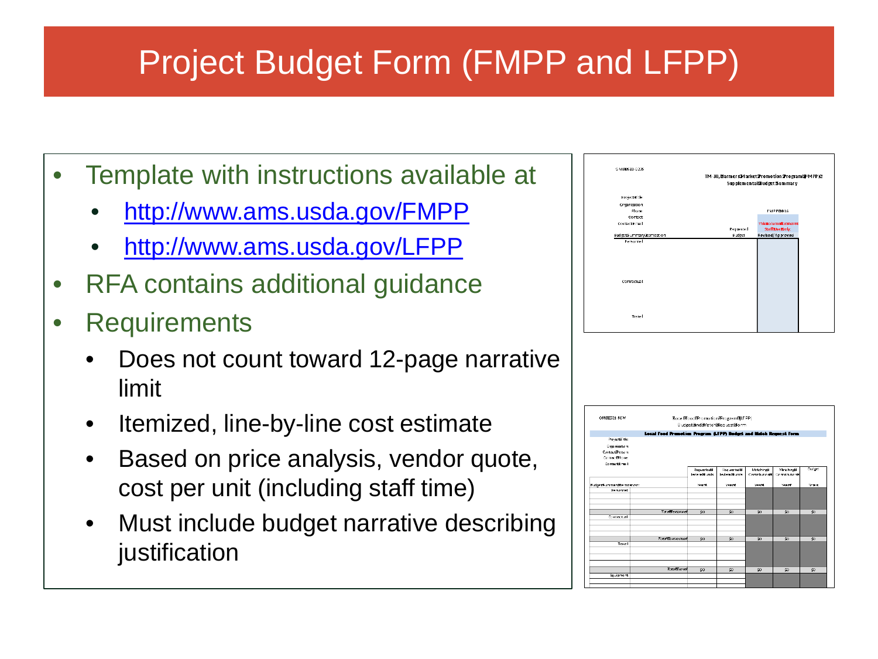## Project Budget Form (FMPP and LFPP)

- Template with instructions available at
	- <http://www.ams.usda.gov/FMPP>
	- <http://www.ams.usda.gov/LFPP>
- RFA contains additional guidance
- Requirements
	- Does not count toward 12-page narrative limit
	- Itemized, line-by-line cost estimate
	- Based on price analysis, vendor quote, cost per unit (including staff time)
	- Must include budget narrative describing justification



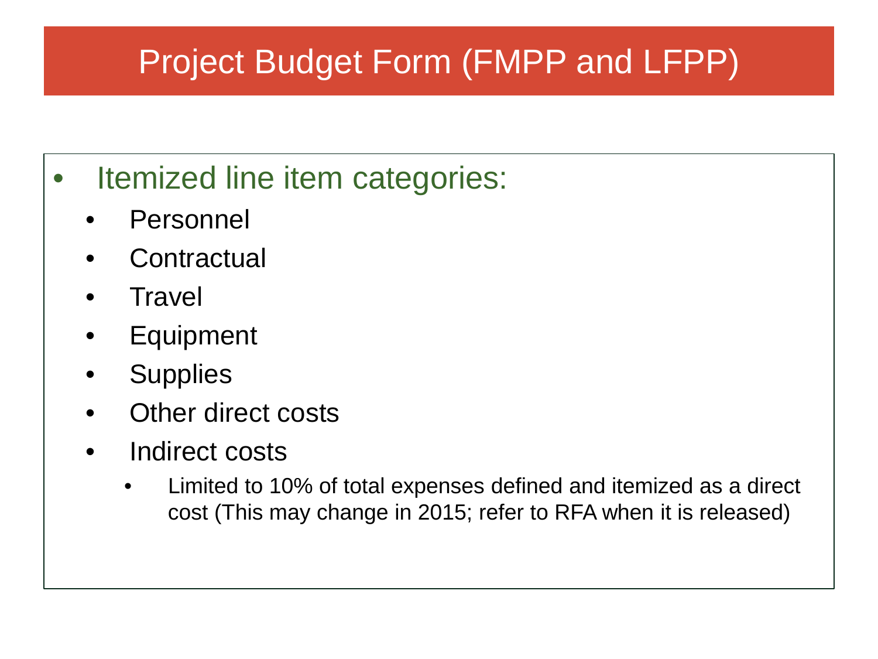## Project Budget Form (FMPP and LFPP)

- Itemized line item categories:
	- **Personnel**
	- **Contractual**
	- Travel
	- Equipment
	- Supplies
	- Other direct costs
	- Indirect costs
		- Limited to 10% of total expenses defined and itemized as a direct cost (This may change in 2015; refer to RFA when it is released)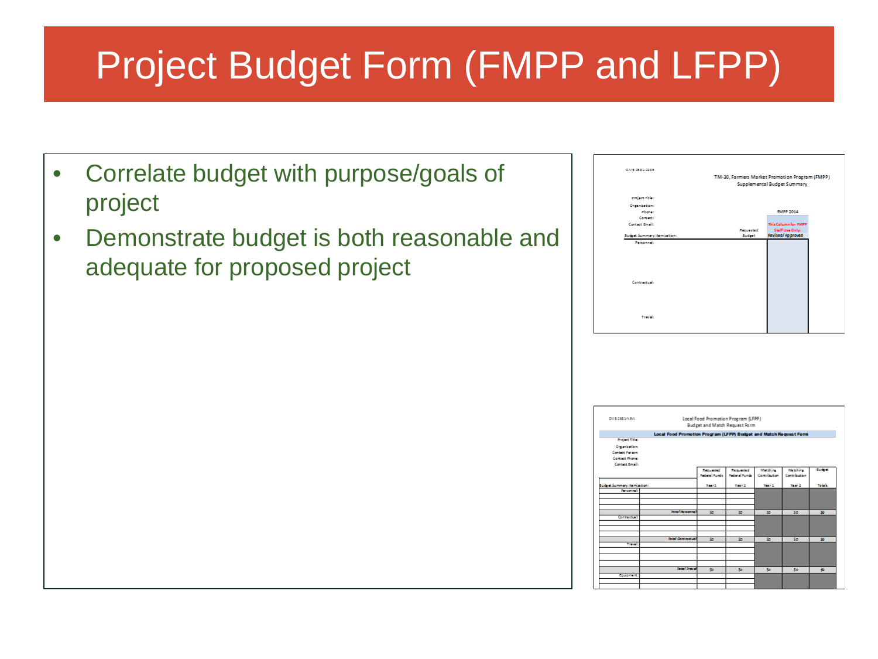# Project Budget Form (FMPP and LFPP)

- Correlate budget with purpose/goals of project
- Demonstrate budget is both reasonable and adequate for proposed project

| OM6 0581-0235                     |                   |                                                |  |  |  |
|-----------------------------------|-------------------|------------------------------------------------|--|--|--|
|                                   |                   | TM-30, Farmers Market Promotion Program (FMPP) |  |  |  |
|                                   |                   | Supplemental Budget Summary                    |  |  |  |
|                                   |                   |                                                |  |  |  |
| Project Title:                    |                   |                                                |  |  |  |
| Organization:                     |                   |                                                |  |  |  |
| Phone:                            |                   | <b>FMPP 2014</b>                               |  |  |  |
| Contact:                          |                   |                                                |  |  |  |
| Contact Email:                    |                   | This Column for <i>FMPP</i>                    |  |  |  |
|                                   | <b>Manualated</b> | Staff Use Only:                                |  |  |  |
| <b>Sudret Summary Remiartion:</b> | Gudget            | Revised/Approved                               |  |  |  |
| Pennsylv                          |                   |                                                |  |  |  |
|                                   |                   |                                                |  |  |  |
|                                   |                   |                                                |  |  |  |
|                                   |                   |                                                |  |  |  |
|                                   |                   |                                                |  |  |  |
|                                   |                   |                                                |  |  |  |
| Contractual:                      |                   |                                                |  |  |  |
|                                   |                   |                                                |  |  |  |
|                                   |                   |                                                |  |  |  |
|                                   |                   |                                                |  |  |  |
|                                   |                   |                                                |  |  |  |
|                                   |                   |                                                |  |  |  |
| Travels                           |                   |                                                |  |  |  |
|                                   |                   |                                                |  |  |  |
|                                   |                   |                                                |  |  |  |
|                                   |                   |                                                |  |  |  |

| CMSOSSSAION                |                                                                   |                     |                                     |              |              |                |
|----------------------------|-------------------------------------------------------------------|---------------------|-------------------------------------|--------------|--------------|----------------|
|                            |                                                                   |                     | Local Food Promotion Program (LFPP) |              |              |                |
|                            |                                                                   |                     | Budget and Match Request Form       |              |              |                |
|                            | Local Food Promotion Program (LFPP) Budget and Match Request Form |                     |                                     |              |              |                |
| Project Title:             |                                                                   |                     |                                     |              |              |                |
| Organization:              |                                                                   |                     |                                     |              |              |                |
| Contact Parasm             |                                                                   |                     |                                     |              |              |                |
| Contact Phone:             |                                                                   |                     |                                     |              |              |                |
| Contact Graph              |                                                                   |                     |                                     |              |              |                |
|                            |                                                                   | <b>Magazine</b>     | <b>Megusted</b>                     | Matching     | Matching.    | <b>Businet</b> |
|                            |                                                                   | <b>Parlam Dunda</b> | <b>Publical Foreign</b>             | Contribution | Contribution |                |
| Sudy at Summary Remission: |                                                                   | Test <sub>2</sub>   | $T = 2$                             | There 2      | Year 2       | Totals.        |
| Personnel:                 |                                                                   |                     |                                     |              |              |                |
|                            |                                                                   |                     |                                     |              |              |                |
|                            |                                                                   |                     |                                     |              |              |                |
|                            | <b>Total Regional</b>                                             | So.                 | So.                                 | SS.          | So.          | 90             |
| Contractual:               |                                                                   |                     |                                     |              |              |                |
|                            |                                                                   |                     |                                     |              |              |                |
|                            |                                                                   |                     |                                     |              |              |                |
|                            |                                                                   |                     |                                     |              |              |                |
|                            | <b>Total Contractus</b>                                           | So.                 | SS.                                 | SS.          | So.          | 90             |
| Travello                   |                                                                   |                     |                                     |              |              |                |
|                            |                                                                   |                     |                                     |              |              |                |
|                            |                                                                   |                     |                                     |              |              |                |
|                            |                                                                   |                     |                                     |              |              |                |
|                            |                                                                   |                     |                                     |              |              |                |
| bruismant:                 | <b>Total Travel</b>                                               | Sp.                 | Sp.                                 | Sp.          | So.          | 90             |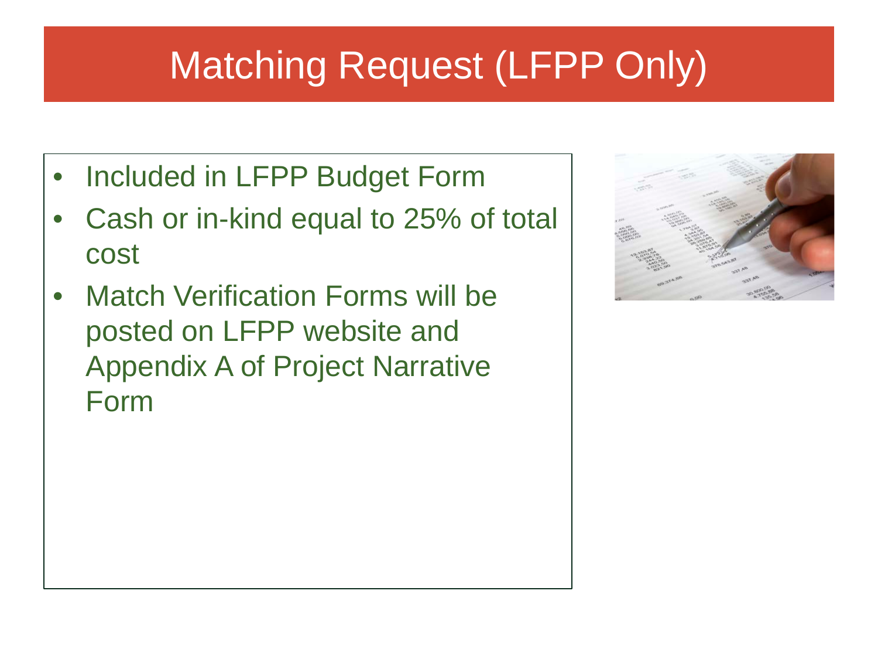# Matching Request (LFPP Only)

- Included in LFPP Budget Form
- Cash or in-kind equal to 25% of total cost
- Match Verification Forms will be posted on LFPP website and Appendix A of Project Narrative Form

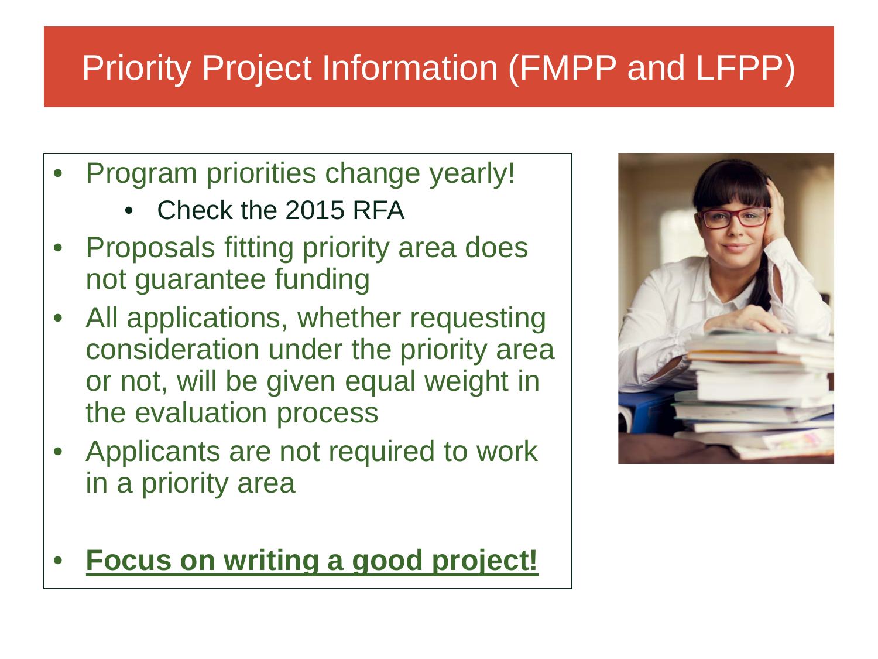# Priority Project Information (FMPP and LFPP)

- Program priorities change yearly!
	- Check the 2015 RFA
- Proposals fitting priority area does not guarantee funding
- All applications, whether requesting consideration under the priority area or not, will be given equal weight in the evaluation process
- Applicants are not required to work in a priority area
- **Focus on writing a good project!**

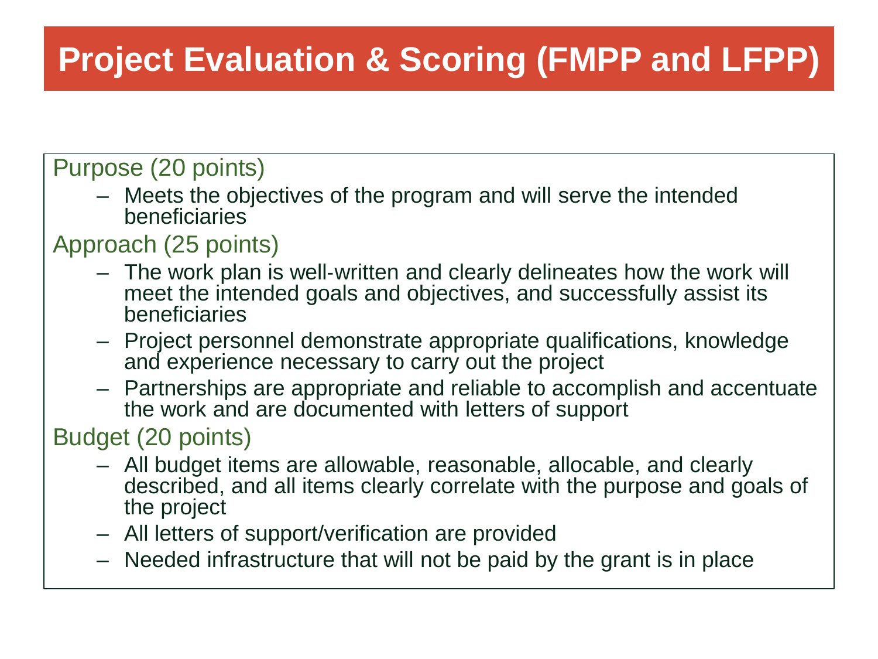# **Project Evaluation & Scoring (FMPP and LFPP)**

### Purpose (20 points)

– Meets the objectives of the program and will serve the intended beneficiaries

#### Approach (25 points)

- The work plan is well‐written and clearly delineates how the work will meet the intended goals and objectives, and successfully assist its beneficiaries
- Project personnel demonstrate appropriate qualifications, knowledge and experience necessary to carry out the project
- Partnerships are appropriate and reliable to accomplish and accentuate the work and are documented with letters of support

#### Budget (20 points)

- All budget items are allowable, reasonable, allocable, and clearly described, and all items clearly correlate with the purpose and goals of the project
- All letters of support/verification are provided
- Needed infrastructure that will not be paid by the grant is in place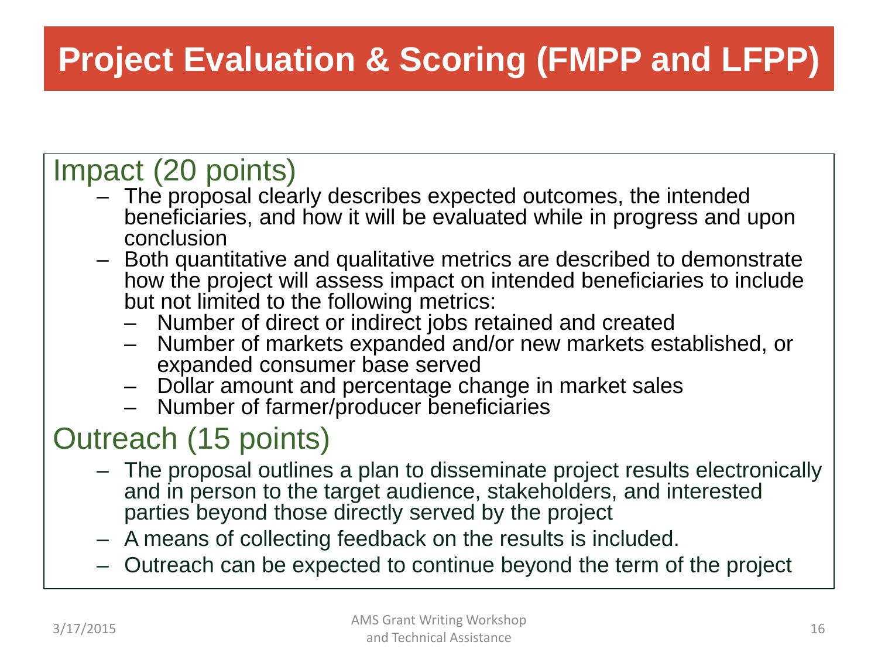# **Project Evaluation & Scoring (FMPP and LFPP)**

- Impact (20 points) The proposal clearly describes expected outcomes, the intended beneficiaries, and how it will be evaluated while in progress and upon
	- Both quantitative and qualitative metrics are described to demonstrate how the project will assess impact on intended beneficiaries to include but not limited to the following metrics:
		-
		- Number of direct or indirect jobs retained and created<br>- Number of markets expanded and/or new markets established, or<br>expanded consumer base served
		- Dollar amount and percentage change in market sales<br>- Number of farmer/producer beneficiaries
		-

- Outreach (15 points) The proposal outlines a plan to disseminate project results electronically and in person to the target audience, stakeholders, and interested parties beyond those directly served by the project
	- A means of collecting feedback on the results is included.
	- Outreach can be expected to continue beyond the term of the project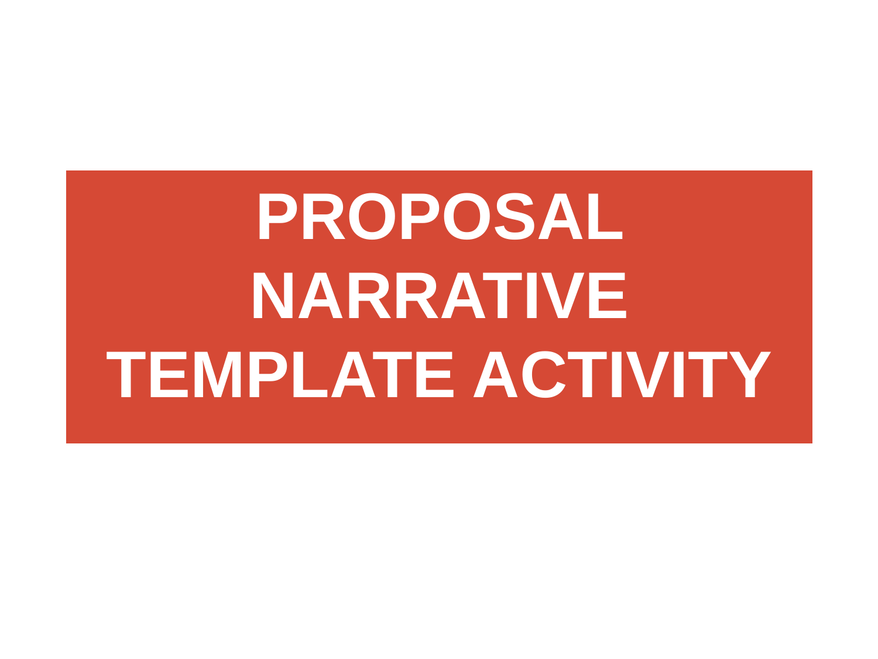# **PROPOSAL NARRATIVE TEMPLATE ACTIVITY**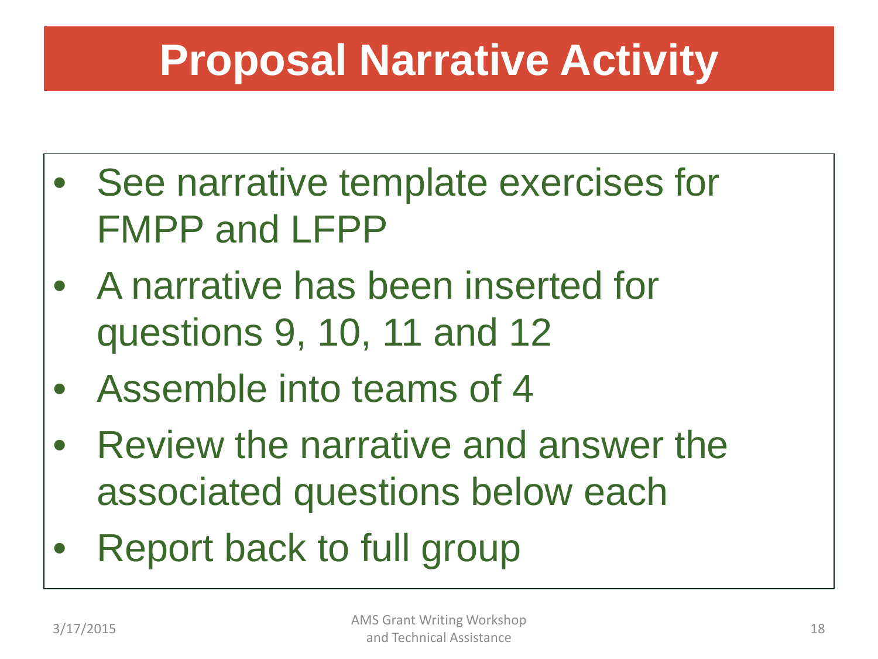# **Proposal Narrative Activity**

- See narrative template exercises for FMPP and LFPP
- A narrative has been inserted for questions 9, 10, 11 and 12
- Assemble into teams of 4
- Review the narrative and answer the associated questions below each
- Report back to full group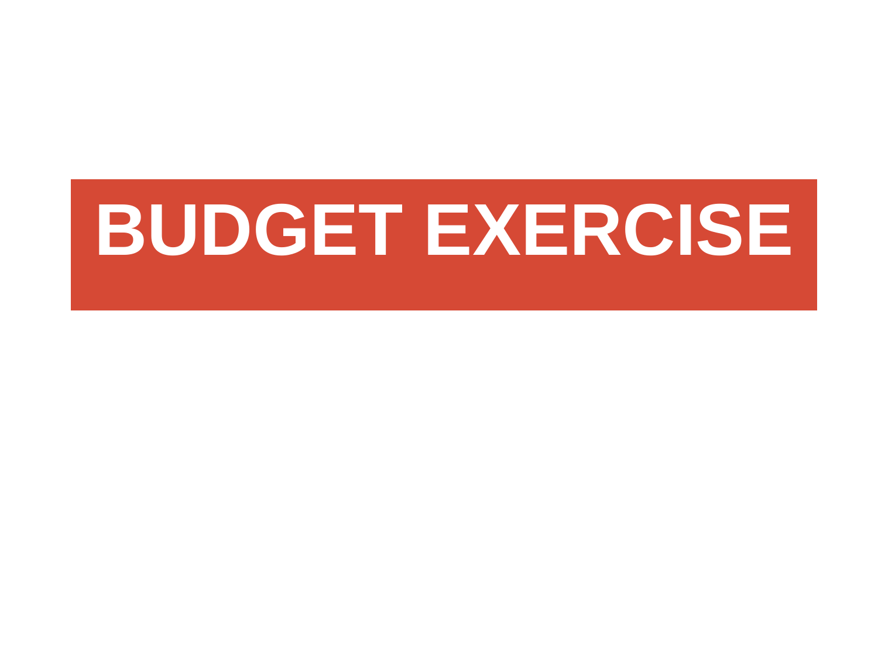# **BUDGET EXERCISE**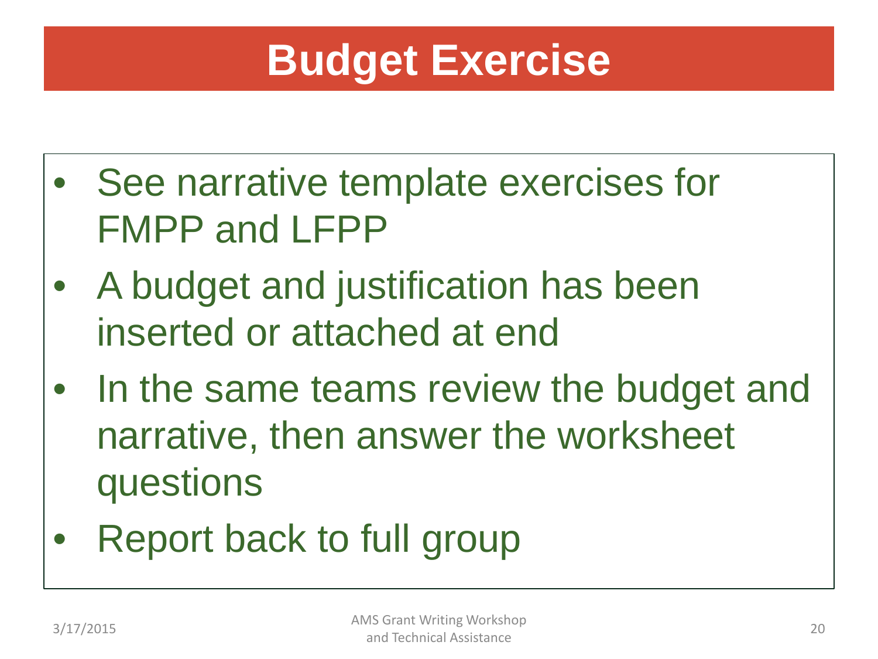# **Budget Exercise**

- See narrative template exercises for FMPP and LFPP
- A budget and justification has been inserted or attached at end
- In the same teams review the budget and narrative, then answer the worksheet questions
- Report back to full group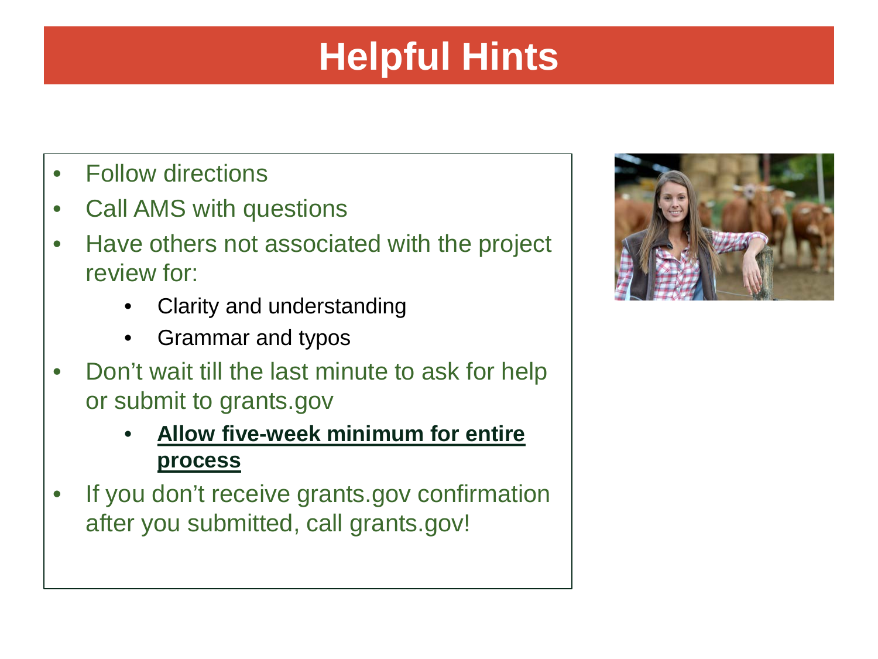# **Helpful Hints**

- Follow directions
- Call AMS with questions
- Have others not associated with the project review for:
	- Clarity and understanding
	- Grammar and typos
- Don't wait till the last minute to ask for help or submit to grants.gov
	- **Allow five-week minimum for entire process**
- If you don't receive grants.gov confirmation after you submitted, call grants.gov!

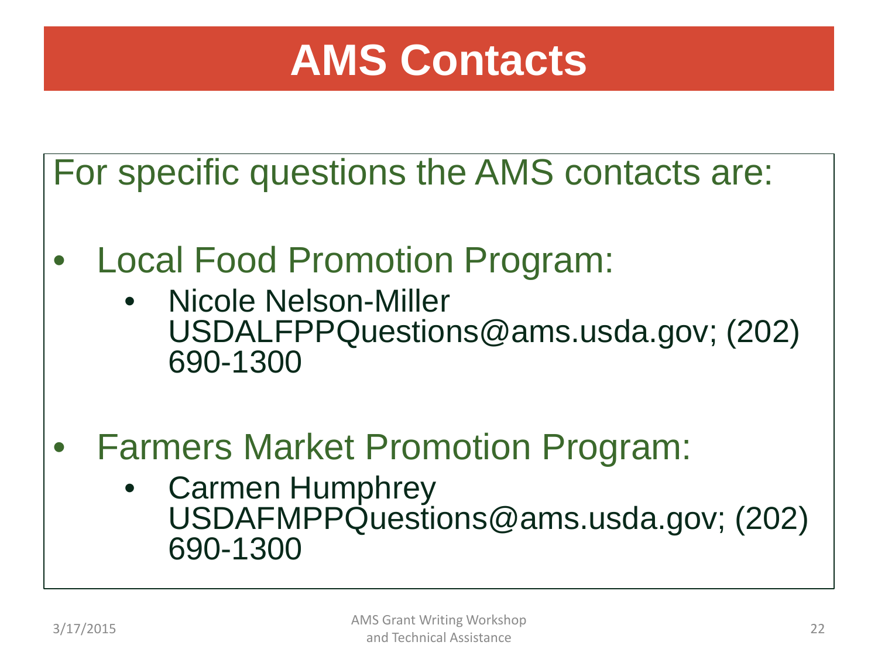# **AMS Contacts**

For specific questions the AMS contacts are:

- Local Food Promotion Program:
	- Nicole Nelson-Miller USDALFPPQuestions@ams.usda.gov; (202) 690-1300
- Farmers Market Promotion Program:
	- Carmen Humphrey USDAFMPPQuestions@ams.usda.gov; (202) 690-1300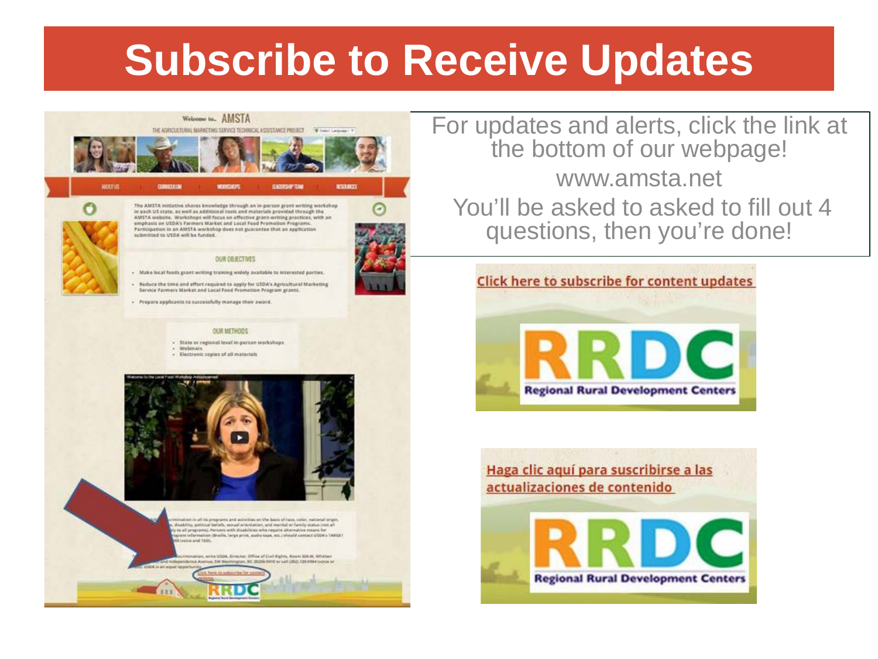# **Subscribe to Receive Updates**



For updates and alerts, click the link at the bottom of our webpage! www.amsta.net You'll be asked to asked to fill out 4 questions, then you're done!



Haga clic aquí para suscribirse a las actualizaciones de contenido